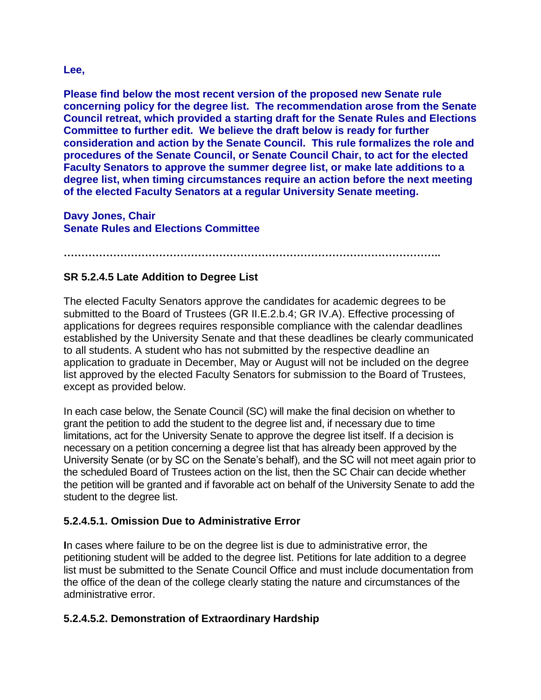## **Lee,**

**Please find below the most recent version of the proposed new Senate rule concerning policy for the degree list. The recommendation arose from the Senate Council retreat, which provided a starting draft for the Senate Rules and Elections Committee to further edit. We believe the draft below is ready for further consideration and action by the Senate Council. This rule formalizes the role and procedures of the Senate Council, or Senate Council Chair, to act for the elected Faculty Senators to approve the summer degree list, or make late additions to a degree list, when timing circumstances require an action before the next meeting of the elected Faculty Senators at a regular University Senate meeting.**

**Davy Jones, Chair Senate Rules and Elections Committee**

**……………………………………………………………………………………………..**

## **SR 5.2.4.5 Late Addition to Degree List**

The elected Faculty Senators approve the candidates for academic degrees to be submitted to the Board of Trustees (GR II.E.2.b.4; GR IV.A). Effective processing of applications for degrees requires responsible compliance with the calendar deadlines established by the University Senate and that these deadlines be clearly communicated to all students. A student who has not submitted by the respective deadline an application to graduate in December, May or August will not be included on the degree list approved by the elected Faculty Senators for submission to the Board of Trustees, except as provided below.

In each case below, the Senate Council (SC) will make the final decision on whether to grant the petition to add the student to the degree list and, if necessary due to time limitations, act for the University Senate to approve the degree list itself. If a decision is necessary on a petition concerning a degree list that has already been approved by the University Senate (or by SC on the Senate's behalf), and the SC will not meet again prior to the scheduled Board of Trustees action on the list, then the SC Chair can decide whether the petition will be granted and if favorable act on behalf of the University Senate to add the student to the degree list.

## **5.2.4.5.1. Omission Due to Administrative Error**

**I**n cases where failure to be on the degree list is due to administrative error, the petitioning student will be added to the degree list. Petitions for late addition to a degree list must be submitted to the Senate Council Office and must include documentation from the office of the dean of the college clearly stating the nature and circumstances of the administrative error.

## **5.2.4.5.2. Demonstration of Extraordinary Hardship**